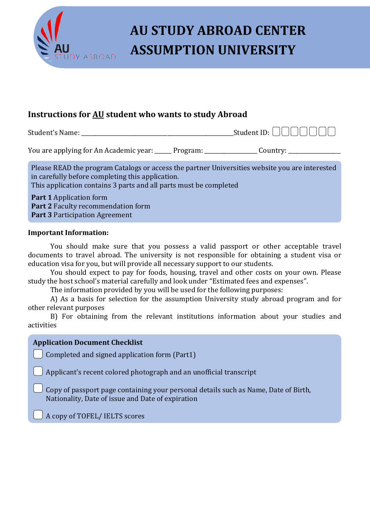

# **AU STUDY ABROAD CENTER MABROAD ASSUMPTION UNIVERSITY**

### **Instructions for AU student who wants to study Abroad**

Student's Name: \_\_\_\_\_\_\_\_\_\_\_\_\_\_\_\_\_\_\_\_\_\_\_\_\_\_\_\_\_\_\_\_\_\_\_\_\_\_\_\_\_\_\_\_\_\_\_\_\_\_\_\_\_\_\_Student ID:

You are applying for An Academic year: \_\_\_\_\_\_ Program: \_\_\_\_\_\_\_\_\_\_\_\_\_\_\_\_\_\_\_ Country:

 Please READ the program Catalogs or access the partner Universities website you are interested in carefully before completing this application. This application contains 3 parts and all parts must be completed

 **Part 1** Application form  **Part 2** Faculty recommendation form  **Part 3** Participation Agreement

#### **Important Information:**

You should make sure that you possess a valid passport or other acceptable travel documents to travel abroad. The university is not responsible for obtaining a student visa or education visa for you, but will provide all necessary support to our students.

You should expect to pay for foods, housing, travel and other costs on your own. Please study the host school's material carefully and look under "Estimated fees and expenses".

The information provided by you will be used for the following purposes:

A) As a basis for selection for the assumption University study abroad program and for other relevant purposes

B) For obtaining from the relevant institutions information about your studies and activities

#### **Application Document Checklist**

Completed and signed application form (Part1)

Applicant's recent colored photograph and an unofficial transcript

 Copy of passport page containing your personal details such as Name, Date of Birth, Nationality, Date of issue and Date of expiration

A copy of TOFEL/ IELTS scores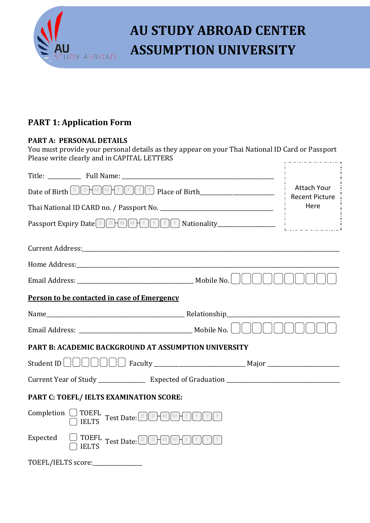

# **AU STUDY ABROAD CENTER** *DY ABROAD* **ASSUMPTION UNIVERSITY**

### **PART 1: Application Form**

#### **PART A: PERSONAL DETAILS**

You must provide your personal details as they appear on your Thai National ID Card or Passport Please write clearly and in CAPITAL LETTERS 

| Title: Full Name:                                                                                                                                                                                                                                                                                                                                                                                                                                          |                               |  |  |  |
|------------------------------------------------------------------------------------------------------------------------------------------------------------------------------------------------------------------------------------------------------------------------------------------------------------------------------------------------------------------------------------------------------------------------------------------------------------|-------------------------------|--|--|--|
| <b>Attach Your</b><br>Date of Birth DOMMYYOU Place of Birth___________________                                                                                                                                                                                                                                                                                                                                                                             |                               |  |  |  |
|                                                                                                                                                                                                                                                                                                                                                                                                                                                            | <b>Recent Picture</b><br>Here |  |  |  |
|                                                                                                                                                                                                                                                                                                                                                                                                                                                            |                               |  |  |  |
|                                                                                                                                                                                                                                                                                                                                                                                                                                                            |                               |  |  |  |
| Current Address: No. 1998. The Contract of the Current Address: No. 1998. The Current Address: No. 1998. The C                                                                                                                                                                                                                                                                                                                                             |                               |  |  |  |
|                                                                                                                                                                                                                                                                                                                                                                                                                                                            |                               |  |  |  |
|                                                                                                                                                                                                                                                                                                                                                                                                                                                            |                               |  |  |  |
| Person to be contacted in case of Emergency                                                                                                                                                                                                                                                                                                                                                                                                                |                               |  |  |  |
|                                                                                                                                                                                                                                                                                                                                                                                                                                                            |                               |  |  |  |
|                                                                                                                                                                                                                                                                                                                                                                                                                                                            |                               |  |  |  |
| <b>PART B: ACADEMIC BACKGROUND AT ASSUMPTION UNIVERSITY</b>                                                                                                                                                                                                                                                                                                                                                                                                |                               |  |  |  |
|                                                                                                                                                                                                                                                                                                                                                                                                                                                            |                               |  |  |  |
|                                                                                                                                                                                                                                                                                                                                                                                                                                                            |                               |  |  |  |
| PART C: TOEFL/ IELTS EXAMINATION SCORE:                                                                                                                                                                                                                                                                                                                                                                                                                    |                               |  |  |  |
| ${\scriptstyle \textbf{Completion} \begin{array}{ c c c c c c c c c} \hline \textbf{TOEFL} & \textbf{Test Date:} \textcolor{red}{\textcircled{\textcolor{green}D}} \textcolor{red}{\textcircled{\textcolor{green}I}} \textcolor{red}{\textcircled{\textcolor{green}I}} \textcolor{red}{\textcircled{\textcolor{green}I}} \textcolor{red}{\textcircled{\textcolor{green}I}} \textcolor{red}{\textcircled{\textcolor{green}I}} \end{array}}$<br><b>IELTS</b> |                               |  |  |  |
| Expected<br>$\Box$ TOEFL Test Date: DDHMMHYMYM<br><b>IELTS</b>                                                                                                                                                                                                                                                                                                                                                                                             |                               |  |  |  |
| TOEFL/IELTS score:______________                                                                                                                                                                                                                                                                                                                                                                                                                           |                               |  |  |  |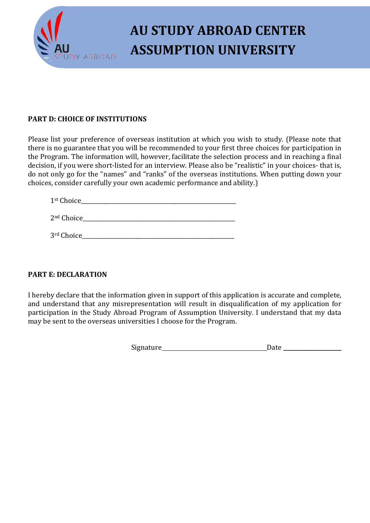

# **AU STUDY ABROAD CENTER MABROAD ASSUMPTION UNIVERSITY**

#### **PART D: CHOICE OF INSTITUTIONS**

Please list your preference of overseas institution at which you wish to study. (Please note that there is no guarantee that you will be recommended to your first three choices for participation in the Program. The information will, however, facilitate the selection process and in reaching a final decision, if you were short-listed for an interview. Please also be "realistic" in your choices- that is, do not only go for the "names" and "ranks" of the overseas institutions. When putting down your choices, consider carefully your own academic performance and ability.)

| 1st Choice |  |  |  |
|------------|--|--|--|
|            |  |  |  |

2nd Choice\_\_\_\_\_\_\_\_\_\_\_\_\_\_\_\_\_\_\_\_\_\_\_\_\_\_\_\_\_\_\_\_\_\_\_\_\_\_\_\_\_\_\_\_\_\_\_\_\_\_\_\_\_\_\_

3rd Choice

### **PART E: DECLARATION**

I hereby declare that the information given in support of this application is accurate and complete, and understand that any misrepresentation will result in disqualification of my application for participation in the Study Abroad Program of Assumption University. I understand that my data may be sent to the overseas universities I choose for the Program.

Signature Date **\_\_\_\_\_\_\_\_\_\_\_\_\_\_\_\_\_\_\_\_\_**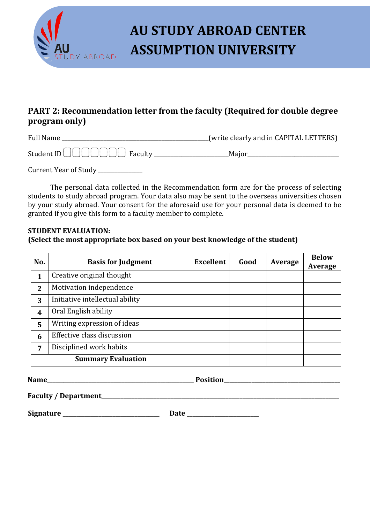

# **AU STUDY ABROAD CENTER ASSUMPTION UNIVERSITY**

### **PART 2: Recommendation letter from the faculty (Required for double degree program only)**

Full Name **\_\_\_\_\_\_\_\_\_\_\_\_\_\_\_\_\_\_\_\_\_\_\_\_\_\_\_\_\_\_\_\_\_\_\_\_\_\_\_\_\_\_\_\_\_\_\_\_\_\_\_\_\_**(write clearly and in CAPITAL LETTERS) Student ID Faculty \_\_\_\_\_\_\_\_\_\_\_\_\_\_\_\_\_\_\_\_\_\_\_\_\_\_\_Major\_\_\_\_\_\_\_\_\_\_\_\_\_\_\_\_\_\_\_\_\_\_\_\_\_\_\_\_\_\_\_\_\_

Current Year of Study \_\_\_\_\_\_\_\_\_\_\_\_

The personal data collected in the Recommendation form are for the process of selecting students to study abroad program. Your data also may be sent to the overseas universities chosen by your study abroad. Your consent for the aforesaid use for your personal data is deemed to be granted if you give this form to a faculty member to complete.

#### **STUDENT EVALUATION: (Select the most appropriate box based on your best knowledge of the student)**

| No.              | <b>Basis for Judgment</b>       | <b>Excellent</b> | Good | Average | <b>Below</b><br>Average |
|------------------|---------------------------------|------------------|------|---------|-------------------------|
| 1                | Creative original thought       |                  |      |         |                         |
| $\overline{2}$   | Motivation independence         |                  |      |         |                         |
| 3                | Initiative intellectual ability |                  |      |         |                         |
| $\boldsymbol{4}$ | Oral English ability            |                  |      |         |                         |
| 5                | Writing expression of ideas     |                  |      |         |                         |
| 6                | Effective class discussion      |                  |      |         |                         |
| 7                | Disciplined work habits         |                  |      |         |                         |
|                  | <b>Summary Evaluation</b>       |                  |      |         |                         |

**Name**\_\_\_\_\_\_\_\_\_\_\_\_\_\_\_\_\_\_\_\_\_\_\_\_\_\_\_\_\_\_\_\_\_\_\_\_\_\_\_\_\_\_\_\_\_\_\_\_\_\_\_\_\_ **Position\_\_\_\_\_\_\_\_\_\_\_\_\_\_\_\_\_\_\_\_\_\_\_\_\_\_\_\_\_\_\_\_\_\_\_\_\_\_\_\_\_\_** 

**Faculty / Department\_\_\_\_\_\_\_\_\_\_\_\_\_\_\_\_\_\_\_\_\_\_\_\_\_\_\_\_\_\_\_\_\_\_\_\_\_\_\_\_\_\_\_\_\_\_\_\_\_\_\_\_\_\_\_\_\_\_\_\_\_\_\_\_\_\_\_\_\_\_\_\_\_\_\_\_\_\_\_\_\_\_\_\_\_\_**

**Signature \_\_\_\_\_\_\_\_\_\_\_\_\_\_\_\_\_\_\_\_\_\_\_\_\_\_\_\_\_\_\_\_\_\_\_ Date \_\_\_\_\_\_\_\_\_\_\_\_\_\_\_\_\_\_\_\_\_\_\_\_\_\_**